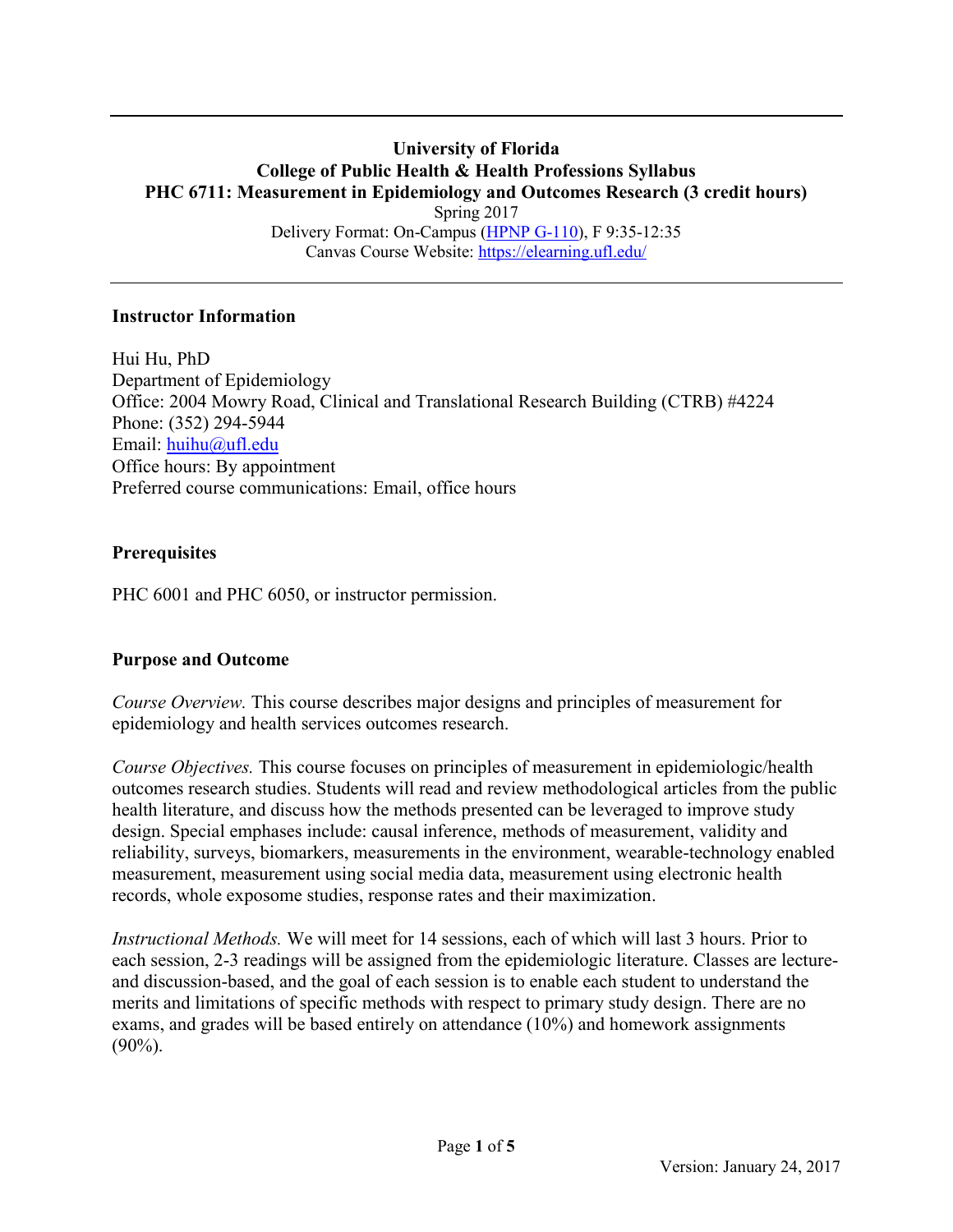### **University of Florida College of Public Health & Health Professions Syllabus PHC 6711: Measurement in Epidemiology and Outcomes Research (3 credit hours)** Spring 2017 Delivery Format: On-Campus [\(HPNP G-110\)](http://facstaff.phhp.ufl.edu/hpnp/0212-G.pdf), F 9:35-12:35 Canvas Course Website:<https://elearning.ufl.edu/>

### **Instructor Information**

Hui Hu, PhD Department of Epidemiology Office: 2004 Mowry Road, Clinical and Translational Research Building (CTRB) #4224 Phone: (352) 294-5944 Email: [huihu@ufl.edu](mailto:huihu@ufl.edu) Office hours: By appointment Preferred course communications: Email, office hours

## **Prerequisites**

PHC 6001 and PHC 6050, or instructor permission.

## **Purpose and Outcome**

*Course Overview.* This course describes major designs and principles of measurement for epidemiology and health services outcomes research.

*Course Objectives.* This course focuses on principles of measurement in epidemiologic/health outcomes research studies. Students will read and review methodological articles from the public health literature, and discuss how the methods presented can be leveraged to improve study design. Special emphases include: causal inference, methods of measurement, validity and reliability, surveys, biomarkers, measurements in the environment, wearable-technology enabled measurement, measurement using social media data, measurement using electronic health records, whole exposome studies, response rates and their maximization.

*Instructional Methods.* We will meet for 14 sessions, each of which will last 3 hours. Prior to each session, 2-3 readings will be assigned from the epidemiologic literature. Classes are lectureand discussion-based, and the goal of each session is to enable each student to understand the merits and limitations of specific methods with respect to primary study design. There are no exams, and grades will be based entirely on attendance (10%) and homework assignments (90%).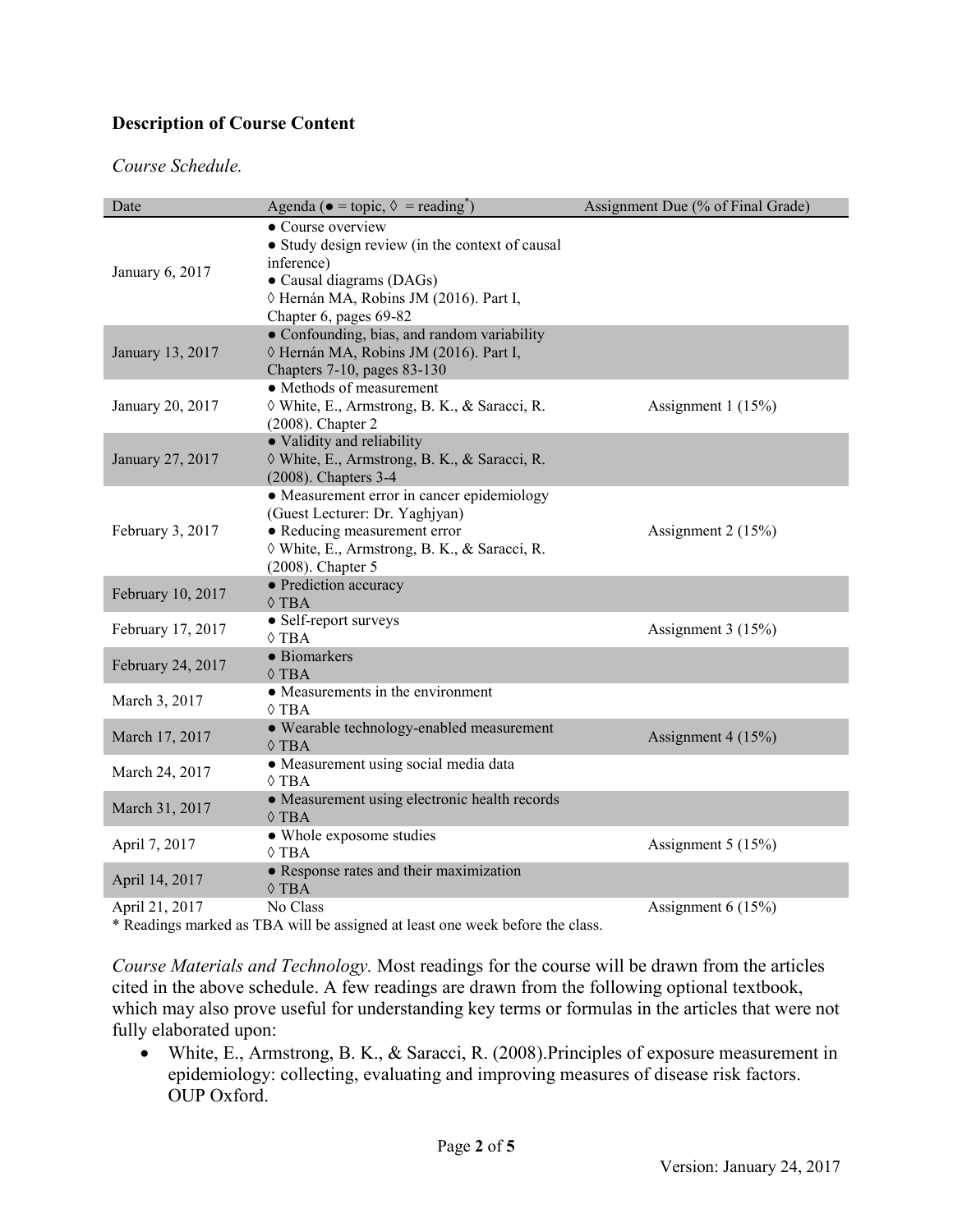# **Description of Course Content**

#### *Course Schedule.*

| Date              | Agenda ( $\bullet$ = topic, $\lozenge$ = reading <sup>*</sup> )                                                                                                                      | Assignment Due (% of Final Grade) |
|-------------------|--------------------------------------------------------------------------------------------------------------------------------------------------------------------------------------|-----------------------------------|
| January 6, 2017   | • Course overview<br>• Study design review (in the context of causal<br>inference)<br>• Causal diagrams (DAGs)<br>◊ Hernán MA, Robins JM (2016). Part I,<br>Chapter 6, pages 69-82   |                                   |
| January 13, 2017  | • Confounding, bias, and random variability<br>◊ Hernán MA, Robins JM (2016). Part I,<br>Chapters 7-10, pages 83-130                                                                 |                                   |
| January 20, 2017  | • Methods of measurement<br>◊ White, E., Armstrong, B. K., & Saracci, R.<br>$(2008)$ . Chapter 2                                                                                     | Assignment 1 (15%)                |
| January 27, 2017  | • Validity and reliability<br>◊ White, E., Armstrong, B. K., & Saracci, R.<br>(2008). Chapters 3-4                                                                                   |                                   |
| February 3, 2017  | • Measurement error in cancer epidemiology<br>(Guest Lecturer: Dr. Yaghjyan)<br>· Reducing measurement error<br>◊ White, E., Armstrong, B. K., & Saracci, R.<br>$(2008)$ . Chapter 5 | Assignment 2 (15%)                |
| February 10, 2017 | • Prediction accuracy<br>$\Diamond$ TBA                                                                                                                                              |                                   |
| February 17, 2017 | • Self-report surveys<br>$\Diamond$ TBA                                                                                                                                              | Assignment 3 (15%)                |
| February 24, 2017 | · Biomarkers<br>$\Diamond$ TBA                                                                                                                                                       |                                   |
| March 3, 2017     | • Measurements in the environment<br>$\Diamond$ TBA                                                                                                                                  |                                   |
| March 17, 2017    | · Wearable technology-enabled measurement<br>$\Diamond$ TBA                                                                                                                          | Assignment 4 (15%)                |
| March 24, 2017    | • Measurement using social media data<br>$\Diamond$ TBA                                                                                                                              |                                   |
| March 31, 2017    | • Measurement using electronic health records<br>$\Diamond$ TBA                                                                                                                      |                                   |
| April 7, 2017     | • Whole exposome studies<br>$\Diamond$ TBA                                                                                                                                           | Assignment 5 (15%)                |
| April 14, 2017    | • Response rates and their maximization<br>$\Diamond$ TBA                                                                                                                            |                                   |
| April 21, 2017    | No Class                                                                                                                                                                             | Assignment $6(15%)$               |

\* Readings marked as TBA will be assigned at least one week before the class.

*Course Materials and Technology.* Most readings for the course will be drawn from the articles cited in the above schedule. A few readings are drawn from the following optional textbook, which may also prove useful for understanding key terms or formulas in the articles that were not fully elaborated upon:

 White, E., Armstrong, B. K., & Saracci, R. (2008).Principles of exposure measurement in epidemiology: collecting, evaluating and improving measures of disease risk factors. OUP Oxford.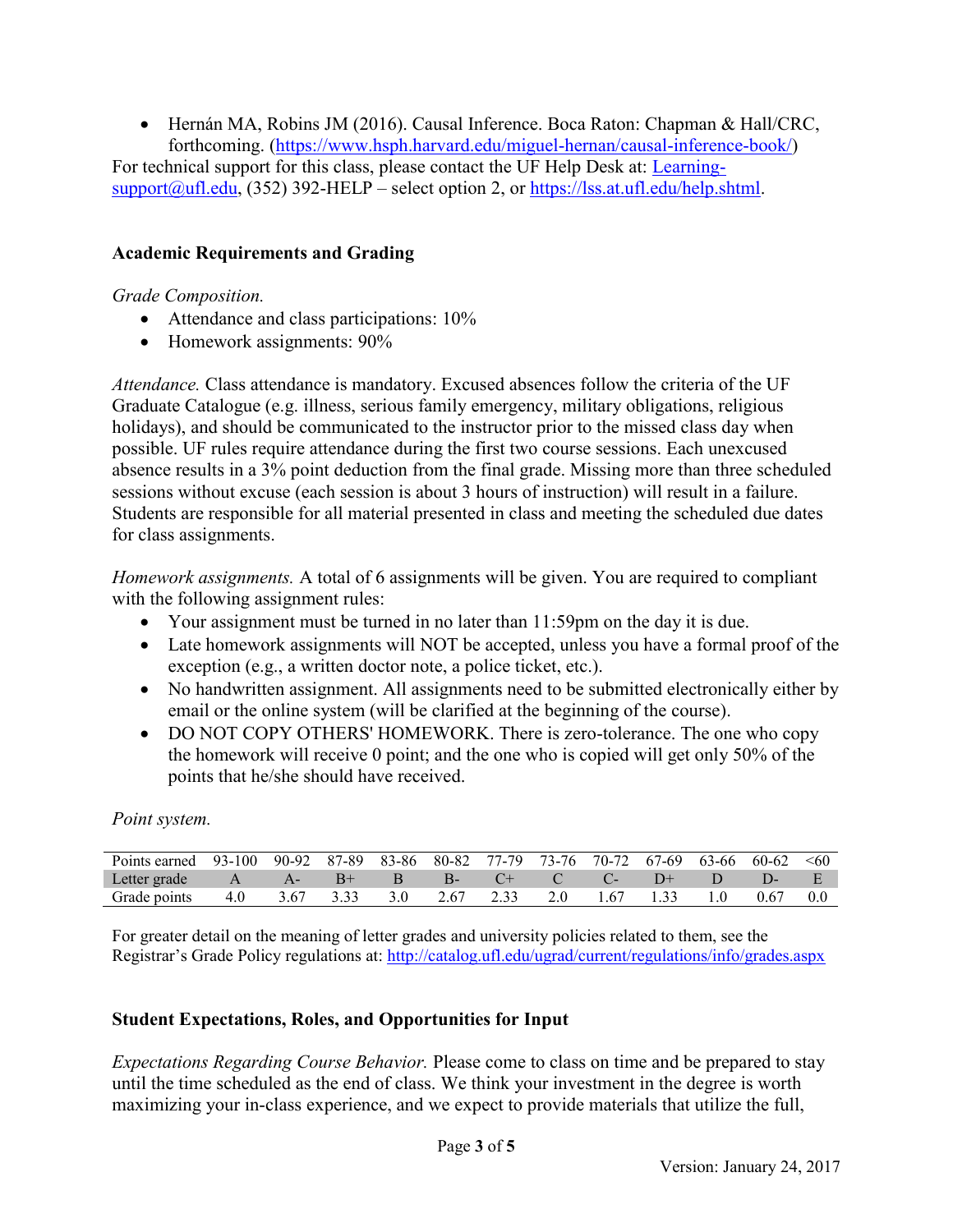Hernán MA, Robins JM (2016). Causal Inference. Boca Raton: Chapman & Hall/CRC, forthcoming. [\(https://www.hsph.harvard.edu/miguel-hernan/causal-inference-book/\)](https://www.hsph.harvard.edu/miguel-hernan/causal-inference-book/) For technical support for this class, please contact the UF Help Desk at: [Learning](mailto:Learning-support@ufl.edu) $support(Qufl.edu, (352) 392-HELP - select option 2, or <https://lss.at.ufl.edu/help.shtml>.$ 

# **Academic Requirements and Grading**

### *Grade Composition.*

- Attendance and class participations:  $10\%$
- Homework assignments:  $90\%$

*Attendance.* Class attendance is mandatory. Excused absences follow the criteria of the UF Graduate Catalogue (e.g. illness, serious family emergency, military obligations, religious holidays), and should be communicated to the instructor prior to the missed class day when possible. UF rules require attendance during the first two course sessions. Each unexcused absence results in a 3% point deduction from the final grade. Missing more than three scheduled sessions without excuse (each session is about 3 hours of instruction) will result in a failure. Students are responsible for all material presented in class and meeting the scheduled due dates for class assignments.

*Homework assignments.* A total of 6 assignments will be given. You are required to compliant with the following assignment rules:

- Your assignment must be turned in no later than 11:59pm on the day it is due.
- Late homework assignments will NOT be accepted, unless you have a formal proof of the exception (e.g., a written doctor note, a police ticket, etc.).
- No handwritten assignment. All assignments need to be submitted electronically either by email or the online system (will be clarified at the beginning of the course).
- DO NOT COPY OTHERS' HOMEWORK. There is zero-tolerance. The one who copy the homework will receive 0 point; and the one who is copied will get only 50% of the points that he/she should have received.

*Point system.*

| Points earned | 93-100 90-92 87-89 83-86 80-82 77-79 73-76 70-72 67-69 63-66 |       |      |     |      |            |      |       | 60-62 | $\leq 60$ |
|---------------|--------------------------------------------------------------|-------|------|-----|------|------------|------|-------|-------|-----------|
| Letter grade  |                                                              | $A -$ | $B+$ | B   | - B- | $\sqrt{2}$ |      | $+(-$ |       |           |
| Grade points  | 4.0                                                          | 3.67  |      | 3.0 | 2.67 |            | 1.67 |       | 0.67  |           |

For greater detail on the meaning of letter grades and university policies related to them, see the Registrar's Grade Policy regulations at: <http://catalog.ufl.edu/ugrad/current/regulations/info/grades.aspx>

## **Student Expectations, Roles, and Opportunities for Input**

*Expectations Regarding Course Behavior.* Please come to class on time and be prepared to stay until the time scheduled as the end of class. We think your investment in the degree is worth maximizing your in-class experience, and we expect to provide materials that utilize the full,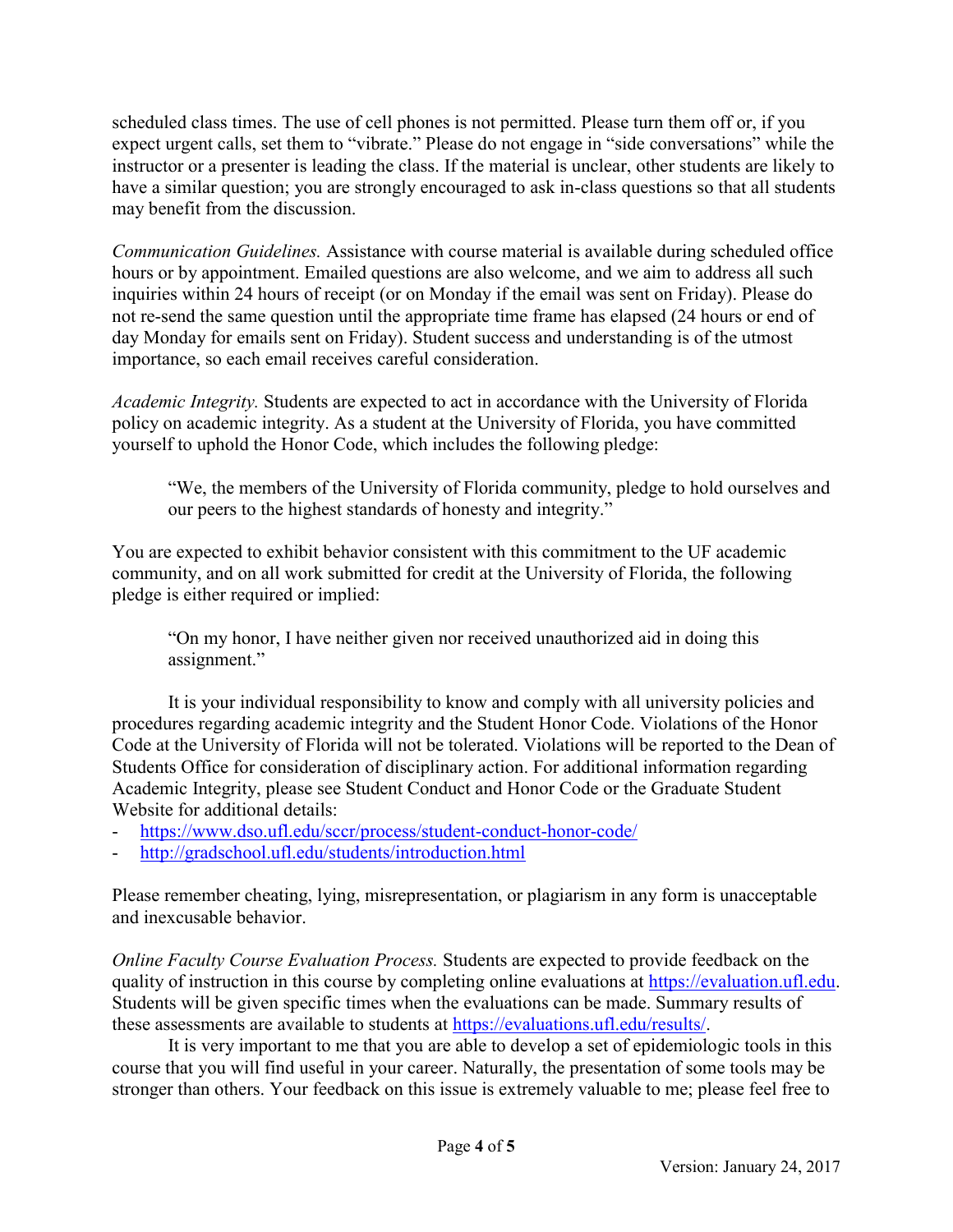scheduled class times. The use of cell phones is not permitted. Please turn them off or, if you expect urgent calls, set them to "vibrate." Please do not engage in "side conversations" while the instructor or a presenter is leading the class. If the material is unclear, other students are likely to have a similar question; you are strongly encouraged to ask in-class questions so that all students may benefit from the discussion.

*Communication Guidelines.* Assistance with course material is available during scheduled office hours or by appointment. Emailed questions are also welcome, and we aim to address all such inquiries within 24 hours of receipt (or on Monday if the email was sent on Friday). Please do not re-send the same question until the appropriate time frame has elapsed (24 hours or end of day Monday for emails sent on Friday). Student success and understanding is of the utmost importance, so each email receives careful consideration.

*Academic Integrity.* Students are expected to act in accordance with the University of Florida policy on academic integrity. As a student at the University of Florida, you have committed yourself to uphold the Honor Code, which includes the following pledge:

"We, the members of the University of Florida community, pledge to hold ourselves and our peers to the highest standards of honesty and integrity."

You are expected to exhibit behavior consistent with this commitment to the UF academic community, and on all work submitted for credit at the University of Florida, the following pledge is either required or implied:

"On my honor, I have neither given nor received unauthorized aid in doing this assignment."

It is your individual responsibility to know and comply with all university policies and procedures regarding academic integrity and the Student Honor Code. Violations of the Honor Code at the University of Florida will not be tolerated. Violations will be reported to the Dean of Students Office for consideration of disciplinary action. For additional information regarding Academic Integrity, please see Student Conduct and Honor Code or the Graduate Student Website for additional details:

- <https://www.dso.ufl.edu/sccr/process/student-conduct-honor-code/>
- <http://gradschool.ufl.edu/students/introduction.html>

Please remember cheating, lying, misrepresentation, or plagiarism in any form is unacceptable and inexcusable behavior.

*Online Faculty Course Evaluation Process.* Students are expected to provide feedback on the quality of instruction in this course by completing online evaluations at [https://evaluation.ufl.edu.](https://evaluation.ufl.edu/) Students will be given specific times when the evaluations can be made. Summary results of these assessments are available to students at [https://evaluations.ufl.edu/results/.](https://evaluations.ufl.edu/results/)

It is very important to me that you are able to develop a set of epidemiologic tools in this course that you will find useful in your career. Naturally, the presentation of some tools may be stronger than others. Your feedback on this issue is extremely valuable to me; please feel free to